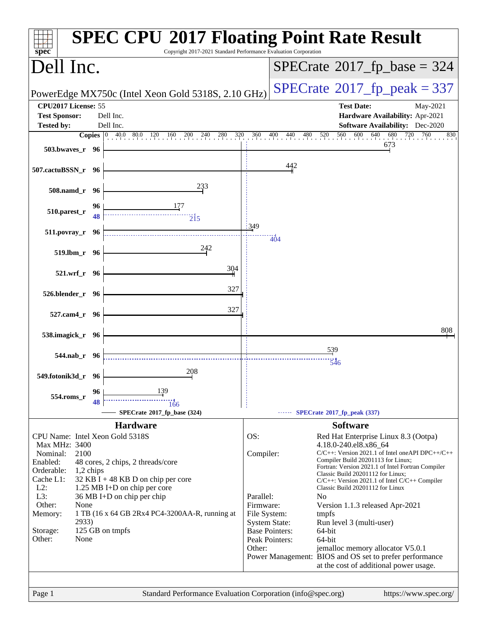| spec <sup>®</sup>                           |           | <b>SPEC CPU®2017 Floating Point Rate Result</b><br>Copyright 2017-2021 Standard Performance Evaluation Corporation |                           |                         |                                                                                                   |
|---------------------------------------------|-----------|--------------------------------------------------------------------------------------------------------------------|---------------------------|-------------------------|---------------------------------------------------------------------------------------------------|
| Dell Inc.                                   |           |                                                                                                                    |                           |                         | $SPECrate$ <sup>®</sup> 2017_fp_base = 324                                                        |
|                                             |           | PowerEdge MX750c (Intel Xeon Gold 5318S, 2.10 GHz)                                                                 |                           |                         | $SPECTate@2017fr peak = 337$                                                                      |
| CPU2017 License: 55<br><b>Test Sponsor:</b> |           | Dell Inc.                                                                                                          |                           |                         | <b>Test Date:</b><br>May-2021<br>Hardware Availability: Apr-2021                                  |
| <b>Tested by:</b>                           |           | Dell Inc.                                                                                                          |                           |                         | <b>Software Availability:</b> Dec-2020                                                            |
|                                             |           | <b>Copies</b> $\begin{bmatrix} 0 & 40.0 & 80.0 & 120 & 160 & 200 & 240 & 280 & 320 \end{bmatrix}$                  |                           | $\frac{360}{1}$ 400 440 | $600$ $640$ $680$<br>720<br>$480$ $520$<br>560<br>760<br>830                                      |
| 503.bwaves_r 96                             |           |                                                                                                                    |                           |                         | 673                                                                                               |
| 507.cactuBSSN_r 96                          |           |                                                                                                                    |                           | 442                     |                                                                                                   |
| 508.namd_r 96                               |           | 233                                                                                                                |                           |                         |                                                                                                   |
| 510.parest_r                                | 96<br>48  | $\overline{2}$ <sup>15</sup>                                                                                       |                           |                         |                                                                                                   |
| 511.povray_r 96                             |           |                                                                                                                    | 349                       | -<br>404                |                                                                                                   |
| 519.lbm_r 96                                |           | 242                                                                                                                |                           |                         |                                                                                                   |
| 521.wrf_r 96                                |           | 304                                                                                                                |                           |                         |                                                                                                   |
| 526.blender_r 96                            |           | 327                                                                                                                |                           |                         |                                                                                                   |
| 527.cam4_r 96                               |           | 327                                                                                                                |                           |                         |                                                                                                   |
| 538.imagick_r 96                            |           |                                                                                                                    |                           |                         | 808                                                                                               |
| 544.nab_r 96                                |           |                                                                                                                    |                           |                         | 539<br>546                                                                                        |
| 549.fotonik3d_r 96                          |           | 208                                                                                                                |                           |                         |                                                                                                   |
| 554.roms_r                                  | 96        | 139                                                                                                                |                           |                         |                                                                                                   |
|                                             |           | 166<br>SPECrate®2017_fp_base (324)                                                                                 |                           |                         | SPECrate®2017_fp_peak (337)                                                                       |
|                                             |           | <b>Hardware</b>                                                                                                    |                           |                         | <b>Software</b>                                                                                   |
| Max MHz: 3400                               |           | CPU Name: Intel Xeon Gold 5318S                                                                                    | OS:                       |                         | Red Hat Enterprise Linux 8.3 (Ootpa)<br>4.18.0-240.el8.x86_64                                     |
| Nominal:                                    | 2100      |                                                                                                                    | Compiler:                 |                         | C/C++: Version 2021.1 of Intel oneAPI DPC++/C++                                                   |
| Enabled:                                    |           | 48 cores, 2 chips, 2 threads/core                                                                                  |                           |                         | Compiler Build 20201113 for Linux;<br>Fortran: Version 2021.1 of Intel Fortran Compiler           |
| Orderable:<br>Cache L1:                     | 1,2 chips | 32 KB I + 48 KB D on chip per core                                                                                 |                           |                         | Classic Build 20201112 for Linux;                                                                 |
| $L2$ :                                      |           | 1.25 MB I+D on chip per core                                                                                       |                           |                         | $C/C++$ : Version 2021.1 of Intel $C/C++$ Compiler<br>Classic Build 20201112 for Linux            |
| L3:                                         |           | 36 MB I+D on chip per chip                                                                                         | Parallel:                 |                         | N <sub>o</sub>                                                                                    |
| Other:<br>Memory:                           | None      | 1 TB (16 x 64 GB 2Rx4 PC4-3200AA-R, running at                                                                     | Firmware:<br>File System: |                         | Version 1.1.3 released Apr-2021<br>tmpfs                                                          |
|                                             | 2933)     |                                                                                                                    | <b>System State:</b>      |                         | Run level 3 (multi-user)                                                                          |
| Storage:                                    |           | 125 GB on tmpfs                                                                                                    |                           | <b>Base Pointers:</b>   | 64-bit                                                                                            |
| Other:                                      | None      |                                                                                                                    | Other:                    | Peak Pointers:          | 64-bit<br>jemalloc memory allocator V5.0.1                                                        |
|                                             |           |                                                                                                                    |                           |                         | Power Management: BIOS and OS set to prefer performance<br>at the cost of additional power usage. |
|                                             |           |                                                                                                                    |                           |                         |                                                                                                   |
| Page 1                                      |           | Standard Performance Evaluation Corporation (info@spec.org)                                                        |                           |                         | https://www.spec.org/                                                                             |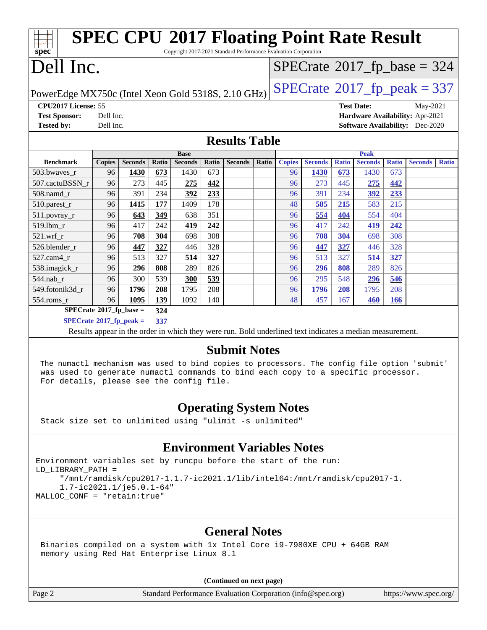| <b>SPEC CPU®2017 Floating Point Rate Result</b><br>Copyright 2017-2021 Standard Performance Evaluation Corporation<br>spec <sup>®</sup>                                                                                                             |                                                                                    |                |            |                                                                                                          |              |                      |       |               |                |                   |                |              |                                            |              |
|-----------------------------------------------------------------------------------------------------------------------------------------------------------------------------------------------------------------------------------------------------|------------------------------------------------------------------------------------|----------------|------------|----------------------------------------------------------------------------------------------------------|--------------|----------------------|-------|---------------|----------------|-------------------|----------------|--------------|--------------------------------------------|--------------|
| Dell Inc.                                                                                                                                                                                                                                           |                                                                                    |                |            |                                                                                                          |              |                      |       |               |                |                   |                |              | $SPECrate$ <sup>®</sup> 2017_fp_base = 324 |              |
|                                                                                                                                                                                                                                                     | $SPECTate@2017fr peak = 337$<br>PowerEdge MX750c (Intel Xeon Gold 5318S, 2.10 GHz) |                |            |                                                                                                          |              |                      |       |               |                |                   |                |              |                                            |              |
| CPU2017 License: 55<br><b>Test Date:</b><br>May-2021<br><b>Test Sponsor:</b><br>Hardware Availability: Apr-2021<br>Dell Inc.<br><b>Software Availability:</b> Dec-2020<br><b>Tested by:</b><br>Dell Inc.                                            |                                                                                    |                |            |                                                                                                          |              |                      |       |               |                |                   |                |              |                                            |              |
|                                                                                                                                                                                                                                                     |                                                                                    |                |            |                                                                                                          |              | <b>Results Table</b> |       |               |                |                   |                |              |                                            |              |
|                                                                                                                                                                                                                                                     |                                                                                    |                |            | <b>Base</b>                                                                                              |              |                      |       |               |                |                   | <b>Peak</b>    |              |                                            |              |
| <b>Benchmark</b>                                                                                                                                                                                                                                    | <b>Copies</b>                                                                      | <b>Seconds</b> | Ratio      | <b>Seconds</b>                                                                                           | <b>Ratio</b> | <b>Seconds</b>       | Ratio | <b>Copies</b> | <b>Seconds</b> | <b>Ratio</b>      | <b>Seconds</b> | <b>Ratio</b> | <b>Seconds</b>                             | <b>Ratio</b> |
| 503.bwaves_r                                                                                                                                                                                                                                        | 96                                                                                 | 1430           | 673        | 1430                                                                                                     | 673          |                      |       | 96            | 1430           | 673               | 1430           | 673          |                                            |              |
| 507.cactuBSSN r                                                                                                                                                                                                                                     | 96                                                                                 | 273            | 445        | 275                                                                                                      | 442          |                      |       | 96            | 273            | 445               | 275            | 442          |                                            |              |
| 508.namd_r                                                                                                                                                                                                                                          | 96                                                                                 | 391            | 234        | 392                                                                                                      | 233          |                      |       | 96            | 391            | 234               | 392            | 233          |                                            |              |
| 510.parest_r                                                                                                                                                                                                                                        | 96                                                                                 | 1415           | 177        | 1409                                                                                                     | 178          |                      |       | 48            | 585            | 215               | 583            | 215          |                                            |              |
| $511.povray_r$                                                                                                                                                                                                                                      | 96                                                                                 | 643            | 349        | 638                                                                                                      | 351          |                      |       | 96            | 554            | 404               | 554            | 404          |                                            |              |
| 519.1bm_r                                                                                                                                                                                                                                           | 96                                                                                 | 417            | 242        | 419                                                                                                      | 242          |                      |       | 96            | 417            | 242               | 419            | 242          |                                            |              |
| $521.wrf_r$                                                                                                                                                                                                                                         | 96                                                                                 | 708            | 304        | 698                                                                                                      | 308          |                      |       | 96            | 708            | 304               | 698            | 308          |                                            |              |
| 526.blender_r                                                                                                                                                                                                                                       | 96                                                                                 | 447            | 327        | 446                                                                                                      | 328          |                      |       | 96            | 447            | 327               | 446            | 328          |                                            |              |
| $527.cam4_r$                                                                                                                                                                                                                                        | 96                                                                                 | 513            | 327        | 514                                                                                                      | 327          |                      |       | 96            | 513            | 327               | 514            | 327          |                                            |              |
| 538.imagick_r                                                                                                                                                                                                                                       | 96                                                                                 | 296            | 808        | 289                                                                                                      | 826          |                      |       | 96            | 296            | 808               | 289            | 826          |                                            |              |
| 544.nab_r<br>549.fotonik3d_r                                                                                                                                                                                                                        | 96<br>96                                                                           | 300            | 539        | 300<br>1795                                                                                              | 539          |                      |       | 96<br>96      | 295            | 548               | 296            | 546<br>208   |                                            |              |
|                                                                                                                                                                                                                                                     | 96                                                                                 | 1796<br>1095   | 208<br>139 | 1092                                                                                                     | 208<br>140   |                      |       | 48            | 1796<br>457    | <b>208</b><br>167 | 1795           |              |                                            |              |
| $554$ .roms_r<br>$SPECrate^{\circ}2017$ _fp_base =                                                                                                                                                                                                  |                                                                                    |                | 324        |                                                                                                          |              |                      |       |               |                |                   | 460            | 166          |                                            |              |
| $SPECrate^*2017_fp_peak =$                                                                                                                                                                                                                          |                                                                                    |                | 337        |                                                                                                          |              |                      |       |               |                |                   |                |              |                                            |              |
|                                                                                                                                                                                                                                                     |                                                                                    |                |            | Results appear in the order in which they were run. Bold underlined text indicates a median measurement. |              |                      |       |               |                |                   |                |              |                                            |              |
|                                                                                                                                                                                                                                                     |                                                                                    |                |            |                                                                                                          |              |                      |       |               |                |                   |                |              |                                            |              |
| <b>Submit Notes</b><br>The numactl mechanism was used to bind copies to processors. The config file option 'submit'<br>was used to generate numactl commands to bind each copy to a specific processor.<br>For details, please see the config file. |                                                                                    |                |            |                                                                                                          |              |                      |       |               |                |                   |                |              |                                            |              |
| <b>Operating System Notes</b><br>Stack size set to unlimited using "ulimit -s unlimited"                                                                                                                                                            |                                                                                    |                |            |                                                                                                          |              |                      |       |               |                |                   |                |              |                                            |              |
| Furironment wariables set by runcou before the start of the run:                                                                                                                                                                                    |                                                                                    |                |            | <b>Environment Variables Notes</b>                                                                       |              |                      |       |               |                |                   |                |              |                                            |              |

```
es set by runcpu before the start of the run
LD_LIBRARY_PATH =
      "/mnt/ramdisk/cpu2017-1.1.7-ic2021.1/lib/intel64:/mnt/ramdisk/cpu2017-1.
      1.7-ic2021.1/je5.0.1-64"
MALLOC_CONF = "retain:true"
```
## **[General Notes](http://www.spec.org/auto/cpu2017/Docs/result-fields.html#GeneralNotes)**

 Binaries compiled on a system with 1x Intel Core i9-7980XE CPU + 64GB RAM memory using Red Hat Enterprise Linux 8.1

**(Continued on next page)**

Page 2 Standard Performance Evaluation Corporation [\(info@spec.org\)](mailto:info@spec.org) <https://www.spec.org/>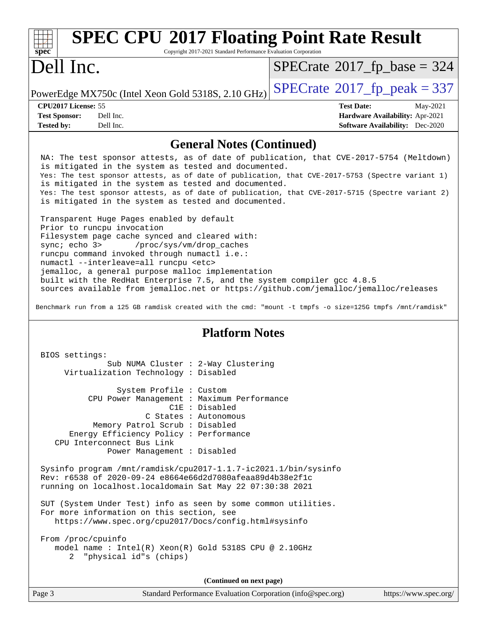| <b>SPEC CPU®2017 Floating Point Rate Result</b><br>$\frac{1}{\sqrt{1-\frac{1}{\sqrt{1-\frac{1}{\sqrt{1-\frac{1}{\sqrt{1-\frac{1}{\sqrt{1-\frac{1}{\sqrt{1-\frac{1}{\sqrt{1-\frac{1}{\sqrt{1-\frac{1}{\sqrt{1-\frac{1}{\sqrt{1-\frac{1}{\sqrt{1-\frac{1}{\sqrt{1-\frac{1}{\sqrt{1-\frac{1}{\sqrt{1-\frac{1}{\sqrt{1-\frac{1}{\sqrt{1-\frac{1}{\sqrt{1-\frac{1}{\sqrt{1-\frac{1}{\sqrt{1-\frac{1}{\sqrt{1-\frac{1}{\sqrt{1-\frac{1}{\sqrt{1-\frac{1}{\sqrt{1-\frac{1}{\sqrt{1-\frac{1$ |                                        |
|--------------------------------------------------------------------------------------------------------------------------------------------------------------------------------------------------------------------------------------------------------------------------------------------------------------------------------------------------------------------------------------------------------------------------------------------------------------------------------------|----------------------------------------|
| Copyright 2017-2021 Standard Performance Evaluation Corporation                                                                                                                                                                                                                                                                                                                                                                                                                      |                                        |
| Dell Inc.                                                                                                                                                                                                                                                                                                                                                                                                                                                                            | $SPECrate^{\circ}2017\_fp\_base = 324$ |
| PowerEdge MX750c (Intel Xeon Gold 5318S, 2.10 GHz) $\left $ SPECrate®2017_fp_peak = 337                                                                                                                                                                                                                                                                                                                                                                                              |                                        |

| <b>CPU2017 License: 55</b> |  |
|----------------------------|--|
|----------------------------|--|

**[Tested by:](http://www.spec.org/auto/cpu2017/Docs/result-fields.html#Testedby)** Dell Inc. **[Software Availability:](http://www.spec.org/auto/cpu2017/Docs/result-fields.html#SoftwareAvailability)** Dec-2020

**[CPU2017 License:](http://www.spec.org/auto/cpu2017/Docs/result-fields.html#CPU2017License)** 55 **[Test Date:](http://www.spec.org/auto/cpu2017/Docs/result-fields.html#TestDate)** May-2021 **[Test Sponsor:](http://www.spec.org/auto/cpu2017/Docs/result-fields.html#TestSponsor)** Dell Inc. **[Hardware Availability:](http://www.spec.org/auto/cpu2017/Docs/result-fields.html#HardwareAvailability)** Apr-2021

### **[General Notes \(Continued\)](http://www.spec.org/auto/cpu2017/Docs/result-fields.html#GeneralNotes)**

 NA: The test sponsor attests, as of date of publication, that CVE-2017-5754 (Meltdown) is mitigated in the system as tested and documented. Yes: The test sponsor attests, as of date of publication, that CVE-2017-5753 (Spectre variant 1) is mitigated in the system as tested and documented. Yes: The test sponsor attests, as of date of publication, that CVE-2017-5715 (Spectre variant 2) is mitigated in the system as tested and documented.

 Transparent Huge Pages enabled by default Prior to runcpu invocation Filesystem page cache synced and cleared with: sync; echo 3> /proc/sys/vm/drop\_caches runcpu command invoked through numactl i.e.: numactl --interleave=all runcpu <etc> jemalloc, a general purpose malloc implementation built with the RedHat Enterprise 7.5, and the system compiler gcc 4.8.5 sources available from jemalloc.net or<https://github.com/jemalloc/jemalloc/releases>

Benchmark run from a 125 GB ramdisk created with the cmd: "mount -t tmpfs -o size=125G tmpfs /mnt/ramdisk"

### **[Platform Notes](http://www.spec.org/auto/cpu2017/Docs/result-fields.html#PlatformNotes)**

 BIOS settings: Sub NUMA Cluster : 2-Way Clustering Virtualization Technology : Disabled System Profile : Custom CPU Power Management : Maximum Performance C1E : Disabled C States : Autonomous Memory Patrol Scrub : Disabled Energy Efficiency Policy : Performance CPU Interconnect Bus Link Power Management : Disabled Sysinfo program /mnt/ramdisk/cpu2017-1.1.7-ic2021.1/bin/sysinfo Rev: r6538 of 2020-09-24 e8664e66d2d7080afeaa89d4b38e2f1c running on localhost.localdomain Sat May 22 07:30:38 2021 SUT (System Under Test) info as seen by some common utilities. For more information on this section, see <https://www.spec.org/cpu2017/Docs/config.html#sysinfo> From /proc/cpuinfo model name : Intel(R) Xeon(R) Gold 5318S CPU @ 2.10GHz 2 "physical id"s (chips) **(Continued on next page)**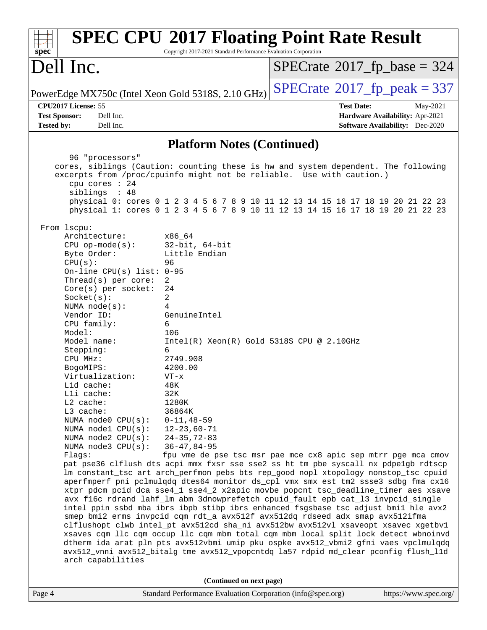| $spec^*$                                                                                                                                                                                                                                                                                                                                                                                                                                                                | Copyright 2017-2021 Standard Performance Evaluation Corporation                                                                                                                                                                                                                                                    | <b>SPEC CPU®2017 Floating Point Rate Result</b>                                                                                                                                                                                                                                                                                                                                                                                                                                                                                                                                                                                                                                                                                                                                                                                                                                                                                                                                                                                              |                                                                                       |
|-------------------------------------------------------------------------------------------------------------------------------------------------------------------------------------------------------------------------------------------------------------------------------------------------------------------------------------------------------------------------------------------------------------------------------------------------------------------------|--------------------------------------------------------------------------------------------------------------------------------------------------------------------------------------------------------------------------------------------------------------------------------------------------------------------|----------------------------------------------------------------------------------------------------------------------------------------------------------------------------------------------------------------------------------------------------------------------------------------------------------------------------------------------------------------------------------------------------------------------------------------------------------------------------------------------------------------------------------------------------------------------------------------------------------------------------------------------------------------------------------------------------------------------------------------------------------------------------------------------------------------------------------------------------------------------------------------------------------------------------------------------------------------------------------------------------------------------------------------------|---------------------------------------------------------------------------------------|
| Dell Inc.                                                                                                                                                                                                                                                                                                                                                                                                                                                               |                                                                                                                                                                                                                                                                                                                    | $SPECrate^{\circ}2017$ _fp_base = 324                                                                                                                                                                                                                                                                                                                                                                                                                                                                                                                                                                                                                                                                                                                                                                                                                                                                                                                                                                                                        |                                                                                       |
| PowerEdge MX750c (Intel Xeon Gold 5318S, 2.10 GHz)                                                                                                                                                                                                                                                                                                                                                                                                                      |                                                                                                                                                                                                                                                                                                                    | $SPECTate@2017fr peak = 337$                                                                                                                                                                                                                                                                                                                                                                                                                                                                                                                                                                                                                                                                                                                                                                                                                                                                                                                                                                                                                 |                                                                                       |
| CPU2017 License: 55<br><b>Test Sponsor:</b><br>Dell Inc.<br><b>Tested by:</b><br>Dell Inc.                                                                                                                                                                                                                                                                                                                                                                              |                                                                                                                                                                                                                                                                                                                    | <b>Test Date:</b>                                                                                                                                                                                                                                                                                                                                                                                                                                                                                                                                                                                                                                                                                                                                                                                                                                                                                                                                                                                                                            | May-2021<br>Hardware Availability: Apr-2021<br><b>Software Availability:</b> Dec-2020 |
|                                                                                                                                                                                                                                                                                                                                                                                                                                                                         | <b>Platform Notes (Continued)</b>                                                                                                                                                                                                                                                                                  |                                                                                                                                                                                                                                                                                                                                                                                                                                                                                                                                                                                                                                                                                                                                                                                                                                                                                                                                                                                                                                              |                                                                                       |
| 96 "processors"                                                                                                                                                                                                                                                                                                                                                                                                                                                         |                                                                                                                                                                                                                                                                                                                    |                                                                                                                                                                                                                                                                                                                                                                                                                                                                                                                                                                                                                                                                                                                                                                                                                                                                                                                                                                                                                                              |                                                                                       |
| cpu cores : 24<br>siblings : 48                                                                                                                                                                                                                                                                                                                                                                                                                                         |                                                                                                                                                                                                                                                                                                                    | cores, siblings (Caution: counting these is hw and system dependent. The following<br>excerpts from /proc/cpuinfo might not be reliable. Use with caution.)<br>physical 0: cores 0 1 2 3 4 5 6 7 8 9 10 11 12 13 14 15 16 17 18 19 20 21 22 23<br>physical 1: cores 0 1 2 3 4 5 6 7 8 9 10 11 12 13 14 15 16 17 18 19 20 21 22 23                                                                                                                                                                                                                                                                                                                                                                                                                                                                                                                                                                                                                                                                                                            |                                                                                       |
| From lscpu:                                                                                                                                                                                                                                                                                                                                                                                                                                                             |                                                                                                                                                                                                                                                                                                                    |                                                                                                                                                                                                                                                                                                                                                                                                                                                                                                                                                                                                                                                                                                                                                                                                                                                                                                                                                                                                                                              |                                                                                       |
| Architecture:<br>$CPU$ op-mode( $s$ ):<br>Byte Order:<br>CPU(s):<br>On-line CPU(s) list: $0-95$<br>Thread(s) per core:<br>$Core(s)$ per socket:<br>Socket(s):<br>NUMA $node(s):$<br>Vendor ID:<br>CPU family:<br>Model:<br>Model name:<br>Stepping:<br>CPU MHz:<br>BogoMIPS:<br>Virtualization:<br>L1d cache:<br>Lli cache:<br>$L2$ cache:<br>L3 cache:<br>NUMA $node0$ $CPU(s)$ :<br>NUMA nodel CPU(s):<br>NUMA $node2$ $CPU(s)$ :<br>NUMA $node3$ $CPU(s):$<br>Flags: | x86 64<br>$32$ -bit, $64$ -bit<br>Little Endian<br>96<br>2<br>24<br>2<br>4<br>GenuineIntel<br>6<br>106<br>Intel(R) Xeon(R) Gold 5318S CPU @ 2.10GHz<br>6<br>2749.908<br>4200.00<br>$VT - x$<br>48K<br>32K<br>1280K<br>36864K<br>$0 - 11, 48 - 59$<br>$12 - 23,60 - 71$<br>$24 - 35, 72 - 83$<br>$36 - 47, 84 - 95$ | fpu vme de pse tsc msr pae mce cx8 apic sep mtrr pge mca cmov<br>pat pse36 clflush dts acpi mmx fxsr sse sse2 ss ht tm pbe syscall nx pdpelgb rdtscp<br>lm constant_tsc art arch_perfmon pebs bts rep_good nopl xtopology nonstop_tsc cpuid<br>aperfmperf pni pclmulqdq dtes64 monitor ds_cpl vmx smx est tm2 ssse3 sdbg fma cx16<br>xtpr pdcm pcid dca sse4_1 sse4_2 x2apic movbe popcnt tsc_deadline_timer aes xsave<br>avx f16c rdrand lahf_lm abm 3dnowprefetch cpuid_fault epb cat_13 invpcid_single<br>intel_ppin ssbd mba ibrs ibpb stibp ibrs_enhanced fsgsbase tsc_adjust bmil hle avx2<br>smep bmi2 erms invpcid cqm rdt_a avx512f avx512dq rdseed adx smap avx512ifma<br>clflushopt clwb intel_pt avx512cd sha_ni avx512bw avx512vl xsaveopt xsavec xgetbvl<br>xsaves cqm_llc cqm_occup_llc cqm_mbm_total cqm_mbm_local split_lock_detect wbnoinvd<br>dtherm ida arat pln pts avx512vbmi umip pku ospke avx512_vbmi2 gfni vaes vpclmulqdq<br>avx512_vnni avx512_bitalg tme avx512_vpopcntdq la57 rdpid md_clear pconfig flush_11d |                                                                                       |
| arch_capabilities                                                                                                                                                                                                                                                                                                                                                                                                                                                       |                                                                                                                                                                                                                                                                                                                    |                                                                                                                                                                                                                                                                                                                                                                                                                                                                                                                                                                                                                                                                                                                                                                                                                                                                                                                                                                                                                                              |                                                                                       |
|                                                                                                                                                                                                                                                                                                                                                                                                                                                                         | (Continued on next page)                                                                                                                                                                                                                                                                                           |                                                                                                                                                                                                                                                                                                                                                                                                                                                                                                                                                                                                                                                                                                                                                                                                                                                                                                                                                                                                                                              |                                                                                       |
| Page 4                                                                                                                                                                                                                                                                                                                                                                                                                                                                  | Standard Performance Evaluation Corporation (info@spec.org)                                                                                                                                                                                                                                                        |                                                                                                                                                                                                                                                                                                                                                                                                                                                                                                                                                                                                                                                                                                                                                                                                                                                                                                                                                                                                                                              | https://www.spec.org/                                                                 |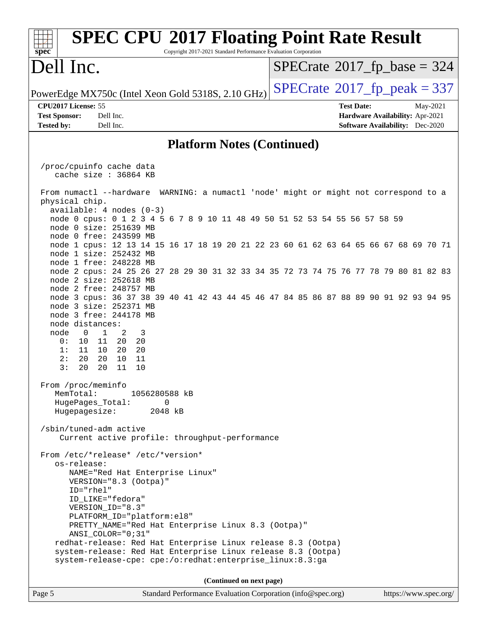### Page 5 Standard Performance Evaluation Corporation [\(info@spec.org\)](mailto:info@spec.org) <https://www.spec.org/> **[spec](http://www.spec.org/) [SPEC CPU](http://www.spec.org/auto/cpu2017/Docs/result-fields.html#SPECCPU2017FloatingPointRateResult)[2017 Floating Point Rate Result](http://www.spec.org/auto/cpu2017/Docs/result-fields.html#SPECCPU2017FloatingPointRateResult)** Copyright 2017-2021 Standard Performance Evaluation Corporation Dell Inc. PowerEdge MX750c (Intel Xeon Gold 5318S, 2.10 GHz)  $\text{SPECrate}^{\circ}2017$  $\text{SPECrate}^{\circ}2017$  $\text{SPECrate}^{\circ}2017$   $\text{fp\_peak} = 337$  $SPECTate$ <sup>®</sup>[2017\\_fp\\_base =](http://www.spec.org/auto/cpu2017/Docs/result-fields.html#SPECrate2017fpbase) 324 **[CPU2017 License:](http://www.spec.org/auto/cpu2017/Docs/result-fields.html#CPU2017License)** 55 **[Test Date:](http://www.spec.org/auto/cpu2017/Docs/result-fields.html#TestDate)** May-2021 **[Test Sponsor:](http://www.spec.org/auto/cpu2017/Docs/result-fields.html#TestSponsor)** Dell Inc. **[Hardware Availability:](http://www.spec.org/auto/cpu2017/Docs/result-fields.html#HardwareAvailability)** Apr-2021 **[Tested by:](http://www.spec.org/auto/cpu2017/Docs/result-fields.html#Testedby)** Dell Inc. **[Software Availability:](http://www.spec.org/auto/cpu2017/Docs/result-fields.html#SoftwareAvailability)** Dec-2020 **[Platform Notes \(Continued\)](http://www.spec.org/auto/cpu2017/Docs/result-fields.html#PlatformNotes)** /proc/cpuinfo cache data cache size : 36864 KB From numactl --hardware WARNING: a numactl 'node' might or might not correspond to a physical chip. available: 4 nodes (0-3) node 0 cpus: 0 1 2 3 4 5 6 7 8 9 10 11 48 49 50 51 52 53 54 55 56 57 58 59 node 0 size: 251639 MB node 0 free: 243599 MB node 1 cpus: 12 13 14 15 16 17 18 19 20 21 22 23 60 61 62 63 64 65 66 67 68 69 70 71 node 1 size: 252432 MB node 1 free: 248228 MB node 2 cpus: 24 25 26 27 28 29 30 31 32 33 34 35 72 73 74 75 76 77 78 79 80 81 82 83 node 2 size: 252618 MB node 2 free: 248757 MB node 3 cpus: 36 37 38 39 40 41 42 43 44 45 46 47 84 85 86 87 88 89 90 91 92 93 94 95 node 3 size: 252371 MB node 3 free: 244178 MB node distances: node 0 1 2 3 0: 10 11 20 20 1: 11 10 20 20 2: 20 20 10 11 3: 20 20 11 10 From /proc/meminfo MemTotal: 1056280588 kB HugePages\_Total: 0 Hugepagesize: 2048 kB /sbin/tuned-adm active Current active profile: throughput-performance From /etc/\*release\* /etc/\*version\* os-release: NAME="Red Hat Enterprise Linux" VERSION="8.3 (Ootpa)" ID="rhel" ID\_LIKE="fedora" VERSION\_ID="8.3" PLATFORM\_ID="platform:el8" PRETTY\_NAME="Red Hat Enterprise Linux 8.3 (Ootpa)" ANSI\_COLOR="0;31" redhat-release: Red Hat Enterprise Linux release 8.3 (Ootpa) system-release: Red Hat Enterprise Linux release 8.3 (Ootpa) system-release-cpe: cpe:/o:redhat:enterprise\_linux:8.3:ga **(Continued on next page)**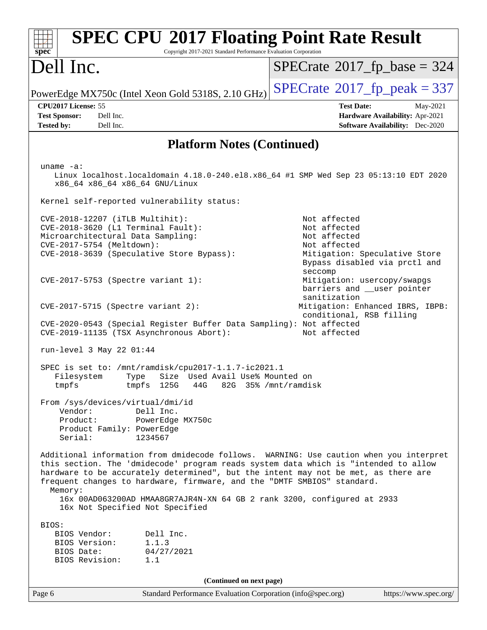| <b>SPEC CPU®2017 Floating Point Rate Result</b><br>Copyright 2017-2021 Standard Performance Evaluation Corporation<br>spec <sup>®</sup>                                                                                                                                                                                                                                                                                              |                                                                                                                                           |
|--------------------------------------------------------------------------------------------------------------------------------------------------------------------------------------------------------------------------------------------------------------------------------------------------------------------------------------------------------------------------------------------------------------------------------------|-------------------------------------------------------------------------------------------------------------------------------------------|
| Dell Inc.                                                                                                                                                                                                                                                                                                                                                                                                                            | $SPECrate^{\circ}2017$ [p base = 324                                                                                                      |
| PowerEdge MX750c (Intel Xeon Gold 5318S, 2.10 GHz)                                                                                                                                                                                                                                                                                                                                                                                   | $SPECTate@2017fr peak = 337$                                                                                                              |
| CPU2017 License: 55<br>Dell Inc.<br><b>Test Sponsor:</b><br>Dell Inc.<br><b>Tested by:</b>                                                                                                                                                                                                                                                                                                                                           | <b>Test Date:</b><br>May-2021<br>Hardware Availability: Apr-2021<br><b>Software Availability:</b> Dec-2020                                |
| <b>Platform Notes (Continued)</b>                                                                                                                                                                                                                                                                                                                                                                                                    |                                                                                                                                           |
| uname $-a$ :<br>Linux localhost.localdomain 4.18.0-240.el8.x86_64 #1 SMP Wed Sep 23 05:13:10 EDT 2020<br>x86_64 x86_64 x86_64 GNU/Linux<br>Kernel self-reported vulnerability status:                                                                                                                                                                                                                                                |                                                                                                                                           |
| CVE-2018-12207 (iTLB Multihit):<br>CVE-2018-3620 (L1 Terminal Fault):<br>Microarchitectural Data Sampling:<br>CVE-2017-5754 (Meltdown):<br>CVE-2018-3639 (Speculative Store Bypass):                                                                                                                                                                                                                                                 | Not affected<br>Not affected<br>Not affected<br>Not affected<br>Mitigation: Speculative Store<br>Bypass disabled via prctl and<br>seccomp |
| $CVE-2017-5753$ (Spectre variant 1):                                                                                                                                                                                                                                                                                                                                                                                                 | Mitigation: usercopy/swapgs<br>barriers and __user pointer<br>sanitization                                                                |
| $CVE-2017-5715$ (Spectre variant 2):<br>CVE-2020-0543 (Special Register Buffer Data Sampling): Not affected<br>CVE-2019-11135 (TSX Asynchronous Abort):                                                                                                                                                                                                                                                                              | Mitigation: Enhanced IBRS, IBPB:<br>conditional, RSB filling<br>Not affected                                                              |
| run-level 3 May 22 01:44                                                                                                                                                                                                                                                                                                                                                                                                             |                                                                                                                                           |
| SPEC is set to: /mnt/ramdisk/cpu2017-1.1.7-ic2021.1<br>Size Used Avail Use% Mounted on<br>Filesystem<br>Type<br>tmpfs 125G 44G 82G 35% /mnt/ramdisk<br>tmpfs                                                                                                                                                                                                                                                                         |                                                                                                                                           |
| From /sys/devices/virtual/dmi/id<br>Vendor:<br>Dell Inc.<br>Product:<br>PowerEdge MX750c<br>Product Family: PowerEdge<br>Serial:<br>1234567                                                                                                                                                                                                                                                                                          |                                                                                                                                           |
| Additional information from dmidecode follows. WARNING: Use caution when you interpret<br>this section. The 'dmidecode' program reads system data which is "intended to allow<br>hardware to be accurately determined", but the intent may not be met, as there are<br>frequent changes to hardware, firmware, and the "DMTF SMBIOS" standard.<br>Memory:<br>16x 00AD063200AD HMAA8GR7AJR4N-XN 64 GB 2 rank 3200, configured at 2933 |                                                                                                                                           |
| 16x Not Specified Not Specified                                                                                                                                                                                                                                                                                                                                                                                                      |                                                                                                                                           |
| BIOS:<br>BIOS Vendor:<br>Dell Inc.<br>1.1.3<br>BIOS Version:<br>04/27/2021<br>BIOS Date:<br>BIOS Revision:<br>1.1                                                                                                                                                                                                                                                                                                                    |                                                                                                                                           |
| (Continued on next page)                                                                                                                                                                                                                                                                                                                                                                                                             |                                                                                                                                           |
| Standard Performance Evaluation Corporation (info@spec.org)<br>Page 6                                                                                                                                                                                                                                                                                                                                                                | https://www.spec.org/                                                                                                                     |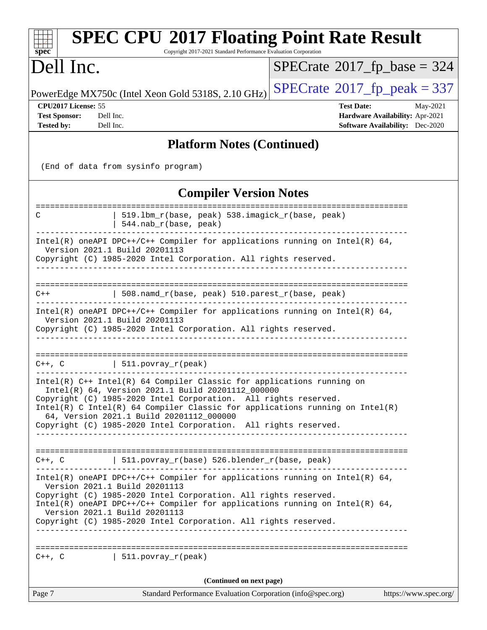| <b>SPEC CPU®2017 Floating Point Rate Result</b><br>Copyright 2017-2021 Standard Performance Evaluation Corporation<br>spec <sup>®</sup>                                                                                                                                                                                                                                                          |                                                                                                     |
|--------------------------------------------------------------------------------------------------------------------------------------------------------------------------------------------------------------------------------------------------------------------------------------------------------------------------------------------------------------------------------------------------|-----------------------------------------------------------------------------------------------------|
| Dell Inc.                                                                                                                                                                                                                                                                                                                                                                                        | $SPECrate$ <sup>®</sup> 2017_fp_base = 324                                                          |
| PowerEdge MX750c (Intel Xeon Gold 5318S, 2.10 GHz)                                                                                                                                                                                                                                                                                                                                               | $SPECTate@2017fr peak = 337$                                                                        |
| CPU2017 License: 55<br><b>Test Sponsor:</b><br>Dell Inc.<br><b>Tested by:</b><br>Dell Inc.                                                                                                                                                                                                                                                                                                       | <b>Test Date:</b><br>May-2021<br>Hardware Availability: Apr-2021<br>Software Availability: Dec-2020 |
| <b>Platform Notes (Continued)</b>                                                                                                                                                                                                                                                                                                                                                                |                                                                                                     |
| (End of data from sysinfo program)                                                                                                                                                                                                                                                                                                                                                               |                                                                                                     |
| <b>Compiler Version Notes</b>                                                                                                                                                                                                                                                                                                                                                                    |                                                                                                     |
| 519.1bm_r(base, peak) 538.imagick_r(base, peak)<br>C<br>544.nab_r(base, peak)                                                                                                                                                                                                                                                                                                                    |                                                                                                     |
| Intel(R) oneAPI DPC++/C++ Compiler for applications running on Intel(R) $64$ ,<br>Version 2021.1 Build 20201113<br>Copyright (C) 1985-2020 Intel Corporation. All rights reserved.                                                                                                                                                                                                               | --------------                                                                                      |
| 508.namd_r(base, peak) 510.parest_r(base, peak)<br>$C++$                                                                                                                                                                                                                                                                                                                                         |                                                                                                     |
| Intel(R) oneAPI DPC++/C++ Compiler for applications running on Intel(R) $64$ ,<br>Version 2021.1 Build 20201113<br>Copyright (C) 1985-2020 Intel Corporation. All rights reserved.                                                                                                                                                                                                               |                                                                                                     |
| 511. povray_r(peak)<br>$C++$ , $C$                                                                                                                                                                                                                                                                                                                                                               |                                                                                                     |
| $Intel(R)$ C++ Intel(R) 64 Compiler Classic for applications running on<br>Intel(R) 64, Version 2021.1 Build 20201112_000000<br>Copyright (C) 1985-2020 Intel Corporation. All rights reserved.<br>$Intel(R)$ C Intel(R) 64 Compiler Classic for applications running on Intel(R)<br>64, Version 2021.1 Build 20201112_000000<br>Copyright (C) 1985-2020 Intel Corporation. All rights reserved. |                                                                                                     |
| C++, C $\vert$ 511.povray_r(base) 526.blender_r(base, peak)                                                                                                                                                                                                                                                                                                                                      |                                                                                                     |
| $Intel(R)$ oneAPI DPC++/C++ Compiler for applications running on Intel(R) 64,<br>Version 2021.1 Build 20201113<br>Copyright (C) 1985-2020 Intel Corporation. All rights reserved.<br>$Intel(R)$ oneAPI DPC++/C++ Compiler for applications running on Intel(R) 64,<br>Version 2021.1 Build 20201113<br>Copyright (C) 1985-2020 Intel Corporation. All rights reserved.                           |                                                                                                     |
| $C++$ , $C$<br>  $511.povray_r (peak)$                                                                                                                                                                                                                                                                                                                                                           |                                                                                                     |
| (Continued on next page)                                                                                                                                                                                                                                                                                                                                                                         |                                                                                                     |
| Page 7<br>Standard Performance Evaluation Corporation (info@spec.org)                                                                                                                                                                                                                                                                                                                            | https://www.spec.org/                                                                               |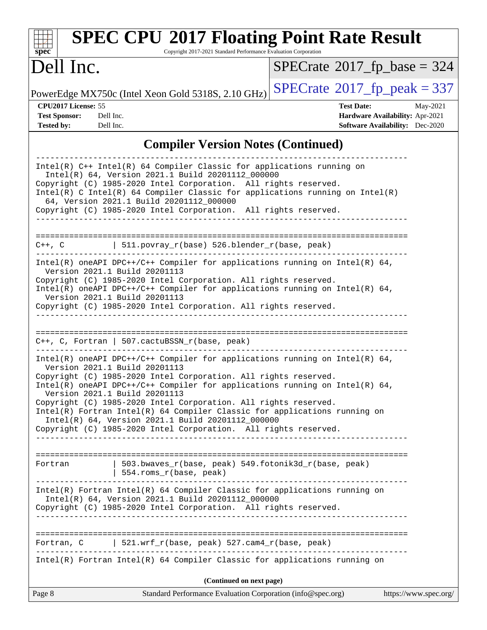| <b>SPEC CPU®2017 Floating Point Rate Result</b><br>Copyright 2017-2021 Standard Performance Evaluation Corporation<br>$\mathbf{Spec}^*$                                                                                                                                                                                                                                                                                                                                                                                                                                    |                                                                                                            |
|----------------------------------------------------------------------------------------------------------------------------------------------------------------------------------------------------------------------------------------------------------------------------------------------------------------------------------------------------------------------------------------------------------------------------------------------------------------------------------------------------------------------------------------------------------------------------|------------------------------------------------------------------------------------------------------------|
| Dell Inc.                                                                                                                                                                                                                                                                                                                                                                                                                                                                                                                                                                  | $SPECrate^{\circledcirc}2017_fp\_base = 324$                                                               |
| PowerEdge MX750c (Intel Xeon Gold 5318S, 2.10 GHz)                                                                                                                                                                                                                                                                                                                                                                                                                                                                                                                         | $SPECTate@2017fr peak = 337$                                                                               |
| CPU2017 License: 55<br><b>Test Sponsor:</b><br>Dell Inc.<br><b>Tested by:</b><br>Dell Inc.                                                                                                                                                                                                                                                                                                                                                                                                                                                                                 | <b>Test Date:</b><br>May-2021<br>Hardware Availability: Apr-2021<br><b>Software Availability:</b> Dec-2020 |
| <b>Compiler Version Notes (Continued)</b>                                                                                                                                                                                                                                                                                                                                                                                                                                                                                                                                  |                                                                                                            |
| $Intel(R)$ C++ Intel(R) 64 Compiler Classic for applications running on<br>Intel(R) 64, Version 2021.1 Build 20201112_000000<br>Copyright (C) 1985-2020 Intel Corporation. All rights reserved.<br>$Intel(R)$ C Intel(R) 64 Compiler Classic for applications running on Intel(R)<br>64, Version 2021.1 Build 20201112_000000<br>Copyright (C) 1985-2020 Intel Corporation. All rights reserved.                                                                                                                                                                           |                                                                                                            |
| 511.povray_r(base) 526.blender_r(base, peak)<br>$C++$ , $C$                                                                                                                                                                                                                                                                                                                                                                                                                                                                                                                |                                                                                                            |
| Intel(R) oneAPI DPC++/C++ Compiler for applications running on Intel(R) $64$ ,<br>Version 2021.1 Build 20201113<br>Copyright (C) 1985-2020 Intel Corporation. All rights reserved.<br>Intel(R) oneAPI DPC++/C++ Compiler for applications running on Intel(R) 64,<br>Version 2021.1 Build 20201113<br>Copyright (C) 1985-2020 Intel Corporation. All rights reserved.                                                                                                                                                                                                      |                                                                                                            |
| $C++$ , C, Fortran   507.cactuBSSN_r(base, peak)                                                                                                                                                                                                                                                                                                                                                                                                                                                                                                                           |                                                                                                            |
| Intel(R) oneAPI DPC++/C++ Compiler for applications running on Intel(R) $64$ ,<br>Version 2021.1 Build 20201113<br>Copyright (C) 1985-2020 Intel Corporation. All rights reserved.<br>Intel(R) oneAPI DPC++/C++ Compiler for applications running on Intel(R) 64,<br>Version 2021.1 Build 20201113<br>Copyright (C) 1985-2020 Intel Corporation. All rights reserved.<br>Intel(R) Fortran Intel(R) 64 Compiler Classic for applications running on<br>Intel(R) 64, Version 2021.1 Build 20201112_000000<br>Copyright (C) 1985-2020 Intel Corporation. All rights reserved. |                                                                                                            |
| 503.bwaves_r(base, peak) 549.fotonik3d_r(base, peak)<br>Fortran<br>554.roms_r(base, peak)                                                                                                                                                                                                                                                                                                                                                                                                                                                                                  |                                                                                                            |
| Intel(R) Fortran Intel(R) 64 Compiler Classic for applications running on<br>Intel(R) 64, Version 2021.1 Build 20201112_000000<br>Copyright (C) 1985-2020 Intel Corporation. All rights reserved.                                                                                                                                                                                                                                                                                                                                                                          |                                                                                                            |
| Fortran, C   521.wrf_r(base, peak) 527.cam4_r(base, peak)                                                                                                                                                                                                                                                                                                                                                                                                                                                                                                                  |                                                                                                            |
| Intel(R) Fortran Intel(R) 64 Compiler Classic for applications running on                                                                                                                                                                                                                                                                                                                                                                                                                                                                                                  |                                                                                                            |
| (Continued on next page)<br>Standard Performance Evaluation Corporation (info@spec.org)<br>Page 8                                                                                                                                                                                                                                                                                                                                                                                                                                                                          | https://www.spec.org/                                                                                      |
|                                                                                                                                                                                                                                                                                                                                                                                                                                                                                                                                                                            |                                                                                                            |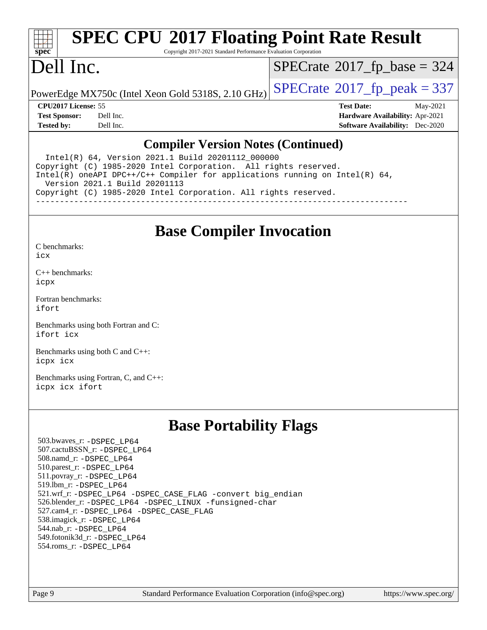# **[spec](http://www.spec.org/)**

## **[SPEC CPU](http://www.spec.org/auto/cpu2017/Docs/result-fields.html#SPECCPU2017FloatingPointRateResult)[2017 Floating Point Rate Result](http://www.spec.org/auto/cpu2017/Docs/result-fields.html#SPECCPU2017FloatingPointRateResult)**

Copyright 2017-2021 Standard Performance Evaluation Corporation

## Dell Inc.

 $SPECTate$ <sup>®</sup>[2017\\_fp\\_base =](http://www.spec.org/auto/cpu2017/Docs/result-fields.html#SPECrate2017fpbase) 324

PowerEdge MX750c (Intel Xeon Gold 5318S, 2.10 GHz)  $\left|$  [SPECrate](http://www.spec.org/auto/cpu2017/Docs/result-fields.html#SPECrate2017fppeak)®[2017\\_fp\\_peak = 3](http://www.spec.org/auto/cpu2017/Docs/result-fields.html#SPECrate2017fppeak)37

**[CPU2017 License:](http://www.spec.org/auto/cpu2017/Docs/result-fields.html#CPU2017License)** 55 **[Test Date:](http://www.spec.org/auto/cpu2017/Docs/result-fields.html#TestDate)** May-2021 **[Test Sponsor:](http://www.spec.org/auto/cpu2017/Docs/result-fields.html#TestSponsor)** Dell Inc. **[Hardware Availability:](http://www.spec.org/auto/cpu2017/Docs/result-fields.html#HardwareAvailability)** Apr-2021 **[Tested by:](http://www.spec.org/auto/cpu2017/Docs/result-fields.html#Testedby)** Dell Inc. **[Software Availability:](http://www.spec.org/auto/cpu2017/Docs/result-fields.html#SoftwareAvailability)** Dec-2020

### **[Compiler Version Notes \(Continued\)](http://www.spec.org/auto/cpu2017/Docs/result-fields.html#CompilerVersionNotes)**

 Intel(R) 64, Version 2021.1 Build 20201112\_000000 Copyright (C) 1985-2020 Intel Corporation. All rights reserved. Intel(R) oneAPI DPC++/C++ Compiler for applications running on Intel(R) 64, Version 2021.1 Build 20201113 Copyright (C) 1985-2020 Intel Corporation. All rights reserved. ------------------------------------------------------------------------------

**[Base Compiler Invocation](http://www.spec.org/auto/cpu2017/Docs/result-fields.html#BaseCompilerInvocation)**

[C benchmarks](http://www.spec.org/auto/cpu2017/Docs/result-fields.html#Cbenchmarks): [icx](http://www.spec.org/cpu2017/results/res2021q3/cpu2017-20210617-27033.flags.html#user_CCbase_intel_icx_fe2d28d19ae2a5db7c42fe0f2a2aed77cb715edd4aeb23434404a8be6683fe239869bb6ca8154ca98265c2e3b9226a719a0efe2953a4a7018c379b7010ccf087)

[C++ benchmarks:](http://www.spec.org/auto/cpu2017/Docs/result-fields.html#CXXbenchmarks) [icpx](http://www.spec.org/cpu2017/results/res2021q3/cpu2017-20210617-27033.flags.html#user_CXXbase_intel_icpx_1e918ed14c436bf4b9b7c8bcdd51d4539fc71b3df010bd1e9f8732d9c34c2b2914e48204a846820f3c0ebb4095dea797a5c30b458ac0b6dffac65d78f781f5ca)

[Fortran benchmarks](http://www.spec.org/auto/cpu2017/Docs/result-fields.html#Fortranbenchmarks): [ifort](http://www.spec.org/cpu2017/results/res2021q3/cpu2017-20210617-27033.flags.html#user_FCbase_intel_ifort_8111460550e3ca792625aed983ce982f94888b8b503583aa7ba2b8303487b4d8a21a13e7191a45c5fd58ff318f48f9492884d4413fa793fd88dd292cad7027ca)

[Benchmarks using both Fortran and C](http://www.spec.org/auto/cpu2017/Docs/result-fields.html#BenchmarksusingbothFortranandC): [ifort](http://www.spec.org/cpu2017/results/res2021q3/cpu2017-20210617-27033.flags.html#user_CC_FCbase_intel_ifort_8111460550e3ca792625aed983ce982f94888b8b503583aa7ba2b8303487b4d8a21a13e7191a45c5fd58ff318f48f9492884d4413fa793fd88dd292cad7027ca) [icx](http://www.spec.org/cpu2017/results/res2021q3/cpu2017-20210617-27033.flags.html#user_CC_FCbase_intel_icx_fe2d28d19ae2a5db7c42fe0f2a2aed77cb715edd4aeb23434404a8be6683fe239869bb6ca8154ca98265c2e3b9226a719a0efe2953a4a7018c379b7010ccf087)

[Benchmarks using both C and C++](http://www.spec.org/auto/cpu2017/Docs/result-fields.html#BenchmarksusingbothCandCXX): [icpx](http://www.spec.org/cpu2017/results/res2021q3/cpu2017-20210617-27033.flags.html#user_CC_CXXbase_intel_icpx_1e918ed14c436bf4b9b7c8bcdd51d4539fc71b3df010bd1e9f8732d9c34c2b2914e48204a846820f3c0ebb4095dea797a5c30b458ac0b6dffac65d78f781f5ca) [icx](http://www.spec.org/cpu2017/results/res2021q3/cpu2017-20210617-27033.flags.html#user_CC_CXXbase_intel_icx_fe2d28d19ae2a5db7c42fe0f2a2aed77cb715edd4aeb23434404a8be6683fe239869bb6ca8154ca98265c2e3b9226a719a0efe2953a4a7018c379b7010ccf087)

[Benchmarks using Fortran, C, and C++:](http://www.spec.org/auto/cpu2017/Docs/result-fields.html#BenchmarksusingFortranCandCXX) [icpx](http://www.spec.org/cpu2017/results/res2021q3/cpu2017-20210617-27033.flags.html#user_CC_CXX_FCbase_intel_icpx_1e918ed14c436bf4b9b7c8bcdd51d4539fc71b3df010bd1e9f8732d9c34c2b2914e48204a846820f3c0ebb4095dea797a5c30b458ac0b6dffac65d78f781f5ca) [icx](http://www.spec.org/cpu2017/results/res2021q3/cpu2017-20210617-27033.flags.html#user_CC_CXX_FCbase_intel_icx_fe2d28d19ae2a5db7c42fe0f2a2aed77cb715edd4aeb23434404a8be6683fe239869bb6ca8154ca98265c2e3b9226a719a0efe2953a4a7018c379b7010ccf087) [ifort](http://www.spec.org/cpu2017/results/res2021q3/cpu2017-20210617-27033.flags.html#user_CC_CXX_FCbase_intel_ifort_8111460550e3ca792625aed983ce982f94888b8b503583aa7ba2b8303487b4d8a21a13e7191a45c5fd58ff318f48f9492884d4413fa793fd88dd292cad7027ca)

## **[Base Portability Flags](http://www.spec.org/auto/cpu2017/Docs/result-fields.html#BasePortabilityFlags)**

 503.bwaves\_r: [-DSPEC\\_LP64](http://www.spec.org/cpu2017/results/res2021q3/cpu2017-20210617-27033.flags.html#suite_basePORTABILITY503_bwaves_r_DSPEC_LP64) 507.cactuBSSN\_r: [-DSPEC\\_LP64](http://www.spec.org/cpu2017/results/res2021q3/cpu2017-20210617-27033.flags.html#suite_basePORTABILITY507_cactuBSSN_r_DSPEC_LP64) 508.namd\_r: [-DSPEC\\_LP64](http://www.spec.org/cpu2017/results/res2021q3/cpu2017-20210617-27033.flags.html#suite_basePORTABILITY508_namd_r_DSPEC_LP64) 510.parest\_r: [-DSPEC\\_LP64](http://www.spec.org/cpu2017/results/res2021q3/cpu2017-20210617-27033.flags.html#suite_basePORTABILITY510_parest_r_DSPEC_LP64) 511.povray\_r: [-DSPEC\\_LP64](http://www.spec.org/cpu2017/results/res2021q3/cpu2017-20210617-27033.flags.html#suite_basePORTABILITY511_povray_r_DSPEC_LP64) 519.lbm\_r: [-DSPEC\\_LP64](http://www.spec.org/cpu2017/results/res2021q3/cpu2017-20210617-27033.flags.html#suite_basePORTABILITY519_lbm_r_DSPEC_LP64) 521.wrf\_r: [-DSPEC\\_LP64](http://www.spec.org/cpu2017/results/res2021q3/cpu2017-20210617-27033.flags.html#suite_basePORTABILITY521_wrf_r_DSPEC_LP64) [-DSPEC\\_CASE\\_FLAG](http://www.spec.org/cpu2017/results/res2021q3/cpu2017-20210617-27033.flags.html#b521.wrf_r_baseCPORTABILITY_DSPEC_CASE_FLAG) [-convert big\\_endian](http://www.spec.org/cpu2017/results/res2021q3/cpu2017-20210617-27033.flags.html#user_baseFPORTABILITY521_wrf_r_convert_big_endian_c3194028bc08c63ac5d04de18c48ce6d347e4e562e8892b8bdbdc0214820426deb8554edfa529a3fb25a586e65a3d812c835984020483e7e73212c4d31a38223) 526.blender\_r: [-DSPEC\\_LP64](http://www.spec.org/cpu2017/results/res2021q3/cpu2017-20210617-27033.flags.html#suite_basePORTABILITY526_blender_r_DSPEC_LP64) [-DSPEC\\_LINUX](http://www.spec.org/cpu2017/results/res2021q3/cpu2017-20210617-27033.flags.html#b526.blender_r_baseCPORTABILITY_DSPEC_LINUX) [-funsigned-char](http://www.spec.org/cpu2017/results/res2021q3/cpu2017-20210617-27033.flags.html#user_baseCPORTABILITY526_blender_r_force_uchar_40c60f00ab013830e2dd6774aeded3ff59883ba5a1fc5fc14077f794d777847726e2a5858cbc7672e36e1b067e7e5c1d9a74f7176df07886a243d7cc18edfe67) 527.cam4\_r: [-DSPEC\\_LP64](http://www.spec.org/cpu2017/results/res2021q3/cpu2017-20210617-27033.flags.html#suite_basePORTABILITY527_cam4_r_DSPEC_LP64) [-DSPEC\\_CASE\\_FLAG](http://www.spec.org/cpu2017/results/res2021q3/cpu2017-20210617-27033.flags.html#b527.cam4_r_baseCPORTABILITY_DSPEC_CASE_FLAG) 538.imagick\_r: [-DSPEC\\_LP64](http://www.spec.org/cpu2017/results/res2021q3/cpu2017-20210617-27033.flags.html#suite_basePORTABILITY538_imagick_r_DSPEC_LP64) 544.nab\_r: [-DSPEC\\_LP64](http://www.spec.org/cpu2017/results/res2021q3/cpu2017-20210617-27033.flags.html#suite_basePORTABILITY544_nab_r_DSPEC_LP64) 549.fotonik3d\_r: [-DSPEC\\_LP64](http://www.spec.org/cpu2017/results/res2021q3/cpu2017-20210617-27033.flags.html#suite_basePORTABILITY549_fotonik3d_r_DSPEC_LP64) 554.roms\_r: [-DSPEC\\_LP64](http://www.spec.org/cpu2017/results/res2021q3/cpu2017-20210617-27033.flags.html#suite_basePORTABILITY554_roms_r_DSPEC_LP64)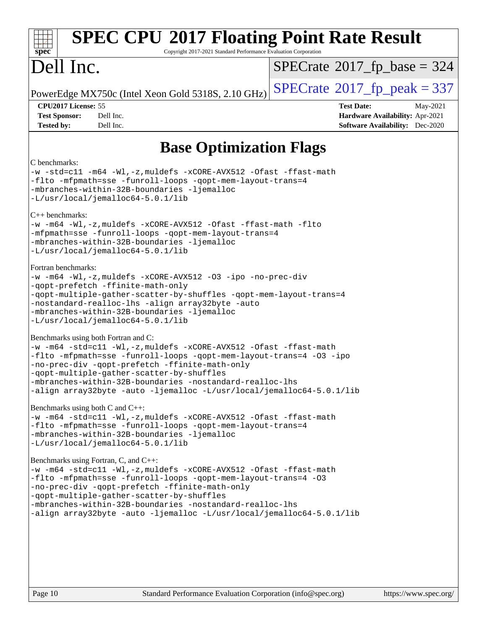| <b>SPEC CPU®2017 Floating Point Rate Result</b><br>Copyright 2017-2021 Standard Performance Evaluation Corporation<br>spec <sup>®</sup>                                                                                                                                                                                                                                                                               |                                                                                                            |
|-----------------------------------------------------------------------------------------------------------------------------------------------------------------------------------------------------------------------------------------------------------------------------------------------------------------------------------------------------------------------------------------------------------------------|------------------------------------------------------------------------------------------------------------|
| Dell Inc.                                                                                                                                                                                                                                                                                                                                                                                                             | $SPECrate^{\circ}2017$ fp base = 324                                                                       |
| PowerEdge MX750c (Intel Xeon Gold 5318S, 2.10 GHz)                                                                                                                                                                                                                                                                                                                                                                    | $SPECTate@2017fr peak = 337$                                                                               |
| CPU2017 License: 55<br>Dell Inc.<br><b>Test Sponsor:</b><br><b>Tested by:</b><br>Dell Inc.                                                                                                                                                                                                                                                                                                                            | <b>Test Date:</b><br>May-2021<br>Hardware Availability: Apr-2021<br><b>Software Availability:</b> Dec-2020 |
| <b>Base Optimization Flags</b>                                                                                                                                                                                                                                                                                                                                                                                        |                                                                                                            |
| C benchmarks:<br>-w -std=c11 -m64 -Wl,-z, muldefs -xCORE-AVX512 -Ofast -ffast-math<br>-flto -mfpmath=sse -funroll-loops -qopt-mem-layout-trans=4<br>-mbranches-within-32B-boundaries -ljemalloc<br>-L/usr/local/jemalloc64-5.0.1/lib                                                                                                                                                                                  |                                                                                                            |
| $C_{++}$ benchmarks:<br>-w -m64 -Wl,-z, muldefs -xCORE-AVX512 -Ofast -ffast-math -flto<br>-mfpmath=sse -funroll-loops -qopt-mem-layout-trans=4<br>-mbranches-within-32B-boundaries -ljemalloc<br>-L/usr/local/jemalloc64-5.0.1/lib                                                                                                                                                                                    |                                                                                                            |
| Fortran benchmarks:<br>$-w$ -m64 -Wl,-z, muldefs -xCORE-AVX512 -O3 -ipo -no-prec-div<br>-qopt-prefetch -ffinite-math-only<br>-qopt-multiple-gather-scatter-by-shuffles -qopt-mem-layout-trans=4<br>-nostandard-realloc-lhs -align array32byte -auto<br>-mbranches-within-32B-boundaries -ljemalloc<br>-L/usr/local/jemalloc64-5.0.1/lib                                                                               |                                                                                                            |
| Benchmarks using both Fortran and C:<br>-w -m64 -std=c11 -Wl,-z, muldefs -xCORE-AVX512 -Ofast -ffast-math<br>-flto -mfpmath=sse -funroll-loops -qopt-mem-layout-trans=4 -03 -ipo<br>-no-prec-div -qopt-prefetch -ffinite-math-only<br>-qopt-multiple-gather-scatter-by-shuffles<br>-mbranches-within-32B-boundaries -nostandard-realloc-lhs <br>-align array32byte -auto -ljemalloc -L/usr/local/jemalloc64-5.0.1/lib |                                                                                                            |
| Benchmarks using both C and $C_{++}$ :<br>-w -m64 -std=c11 -Wl,-z, muldefs -xCORE-AVX512 -Ofast -ffast-math<br>-flto -mfpmath=sse -funroll-loops -qopt-mem-layout-trans=4<br>-mbranches-within-32B-boundaries -ljemalloc<br>-L/usr/local/jemalloc64-5.0.1/lib                                                                                                                                                         |                                                                                                            |
| Benchmarks using Fortran, C, and C++:<br>-w -m64 -std=c11 -Wl,-z, muldefs -xCORE-AVX512 -Ofast -ffast-math<br>-flto -mfpmath=sse -funroll-loops -qopt-mem-layout-trans=4 -03<br>-no-prec-div -qopt-prefetch -ffinite-math-only<br>-qopt-multiple-gather-scatter-by-shuffles<br>-mbranches-within-32B-boundaries -nostandard-realloc-lhs<br>-align array32byte -auto -ljemalloc -L/usr/local/jemalloc64-5.0.1/lib      |                                                                                                            |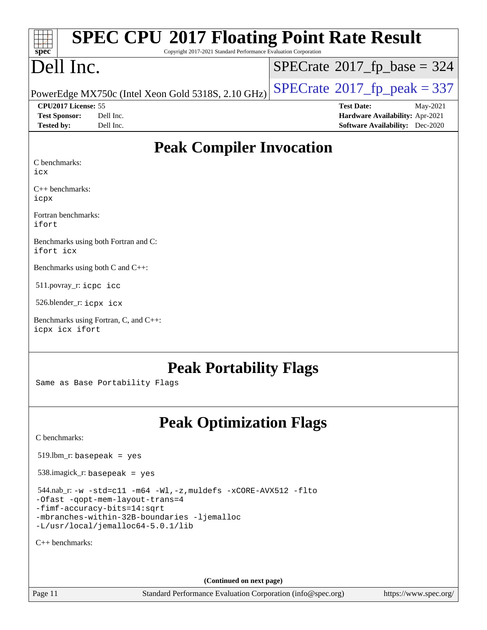| <b>SPEC CPU®2017 Floating Point Rate Result</b><br>$spec^*$<br>Copyright 2017-2021 Standard Performance Evaluation Corporation |           |                                                    |  |                   |                                            |
|--------------------------------------------------------------------------------------------------------------------------------|-----------|----------------------------------------------------|--|-------------------|--------------------------------------------|
| Dell Inc.                                                                                                                      |           |                                                    |  |                   | $SPECTate$ <sup>®</sup> 2017_fp_base = 324 |
|                                                                                                                                |           | PowerEdge MX750c (Intel Xeon Gold 5318S, 2.10 GHz) |  |                   | $SPECTate@2017_fp\_peak = 337$             |
| <b>CPU2017 License: 55</b>                                                                                                     |           |                                                    |  | <b>Test Date:</b> | May-2021                                   |
| <b>Test Sponsor:</b>                                                                                                           | Dell Inc. |                                                    |  |                   | Hardware Availability: Apr-2021            |
| <b>Tested by:</b>                                                                                                              | Dell Inc. |                                                    |  |                   | <b>Software Availability:</b> Dec-2020     |
| C benchmarks:<br>icx                                                                                                           |           | <b>Peak Compiler Invocation</b>                    |  |                   |                                            |

[C++ benchmarks](http://www.spec.org/auto/cpu2017/Docs/result-fields.html#CXXbenchmarks): [icpx](http://www.spec.org/cpu2017/results/res2021q3/cpu2017-20210617-27033.flags.html#user_CXXpeak_intel_icpx_1e918ed14c436bf4b9b7c8bcdd51d4539fc71b3df010bd1e9f8732d9c34c2b2914e48204a846820f3c0ebb4095dea797a5c30b458ac0b6dffac65d78f781f5ca)

[Fortran benchmarks:](http://www.spec.org/auto/cpu2017/Docs/result-fields.html#Fortranbenchmarks) [ifort](http://www.spec.org/cpu2017/results/res2021q3/cpu2017-20210617-27033.flags.html#user_FCpeak_intel_ifort_8111460550e3ca792625aed983ce982f94888b8b503583aa7ba2b8303487b4d8a21a13e7191a45c5fd58ff318f48f9492884d4413fa793fd88dd292cad7027ca)

[Benchmarks using both Fortran and C:](http://www.spec.org/auto/cpu2017/Docs/result-fields.html#BenchmarksusingbothFortranandC) [ifort](http://www.spec.org/cpu2017/results/res2021q3/cpu2017-20210617-27033.flags.html#user_CC_FCpeak_intel_ifort_8111460550e3ca792625aed983ce982f94888b8b503583aa7ba2b8303487b4d8a21a13e7191a45c5fd58ff318f48f9492884d4413fa793fd88dd292cad7027ca) [icx](http://www.spec.org/cpu2017/results/res2021q3/cpu2017-20210617-27033.flags.html#user_CC_FCpeak_intel_icx_fe2d28d19ae2a5db7c42fe0f2a2aed77cb715edd4aeb23434404a8be6683fe239869bb6ca8154ca98265c2e3b9226a719a0efe2953a4a7018c379b7010ccf087)

[Benchmarks using both C and C++](http://www.spec.org/auto/cpu2017/Docs/result-fields.html#BenchmarksusingbothCandCXX):

511.povray\_r: [icpc](http://www.spec.org/cpu2017/results/res2021q3/cpu2017-20210617-27033.flags.html#user_peakCXXLD511_povray_r_intel_icpc_c510b6838c7f56d33e37e94d029a35b4a7bccf4766a728ee175e80a419847e808290a9b78be685c44ab727ea267ec2f070ec5dc83b407c0218cded6866a35d07) [icc](http://www.spec.org/cpu2017/results/res2021q3/cpu2017-20210617-27033.flags.html#user_peakCC511_povray_r_intel_icc_66fc1ee009f7361af1fbd72ca7dcefbb700085f36577c54f309893dd4ec40d12360134090235512931783d35fd58c0460139e722d5067c5574d8eaf2b3e37e92)

526.blender\_r: [icpx](http://www.spec.org/cpu2017/results/res2021q3/cpu2017-20210617-27033.flags.html#user_peakCXXLD526_blender_r_intel_icpx_1e918ed14c436bf4b9b7c8bcdd51d4539fc71b3df010bd1e9f8732d9c34c2b2914e48204a846820f3c0ebb4095dea797a5c30b458ac0b6dffac65d78f781f5ca) [icx](http://www.spec.org/cpu2017/results/res2021q3/cpu2017-20210617-27033.flags.html#user_peakCC526_blender_r_intel_icx_fe2d28d19ae2a5db7c42fe0f2a2aed77cb715edd4aeb23434404a8be6683fe239869bb6ca8154ca98265c2e3b9226a719a0efe2953a4a7018c379b7010ccf087)

[Benchmarks using Fortran, C, and C++](http://www.spec.org/auto/cpu2017/Docs/result-fields.html#BenchmarksusingFortranCandCXX): [icpx](http://www.spec.org/cpu2017/results/res2021q3/cpu2017-20210617-27033.flags.html#user_CC_CXX_FCpeak_intel_icpx_1e918ed14c436bf4b9b7c8bcdd51d4539fc71b3df010bd1e9f8732d9c34c2b2914e48204a846820f3c0ebb4095dea797a5c30b458ac0b6dffac65d78f781f5ca) [icx](http://www.spec.org/cpu2017/results/res2021q3/cpu2017-20210617-27033.flags.html#user_CC_CXX_FCpeak_intel_icx_fe2d28d19ae2a5db7c42fe0f2a2aed77cb715edd4aeb23434404a8be6683fe239869bb6ca8154ca98265c2e3b9226a719a0efe2953a4a7018c379b7010ccf087) [ifort](http://www.spec.org/cpu2017/results/res2021q3/cpu2017-20210617-27033.flags.html#user_CC_CXX_FCpeak_intel_ifort_8111460550e3ca792625aed983ce982f94888b8b503583aa7ba2b8303487b4d8a21a13e7191a45c5fd58ff318f48f9492884d4413fa793fd88dd292cad7027ca)

## **[Peak Portability Flags](http://www.spec.org/auto/cpu2017/Docs/result-fields.html#PeakPortabilityFlags)**

Same as Base Portability Flags

## **[Peak Optimization Flags](http://www.spec.org/auto/cpu2017/Docs/result-fields.html#PeakOptimizationFlags)**

[C benchmarks](http://www.spec.org/auto/cpu2017/Docs/result-fields.html#Cbenchmarks):

519.lbm\_r: basepeak = yes

538.imagick\_r: basepeak = yes

 544.nab\_r: [-w](http://www.spec.org/cpu2017/results/res2021q3/cpu2017-20210617-27033.flags.html#user_peakCCLD544_nab_r_supress_warning_66fb2c4e5c1dd10f38bdd29623979399e5ae75ae6e5453792d82ef66afed381df4a8602f92cac8d2ea0fffa7b93b4b1ccb9ecad4af01c9b2fe338b2082ae3859) [-std=c11](http://www.spec.org/cpu2017/results/res2021q3/cpu2017-20210617-27033.flags.html#user_peakCCLD544_nab_r_std-icc-std_0e1c27790398a4642dfca32ffe6c27b5796f9c2d2676156f2e42c9c44eaad0c049b1cdb667a270c34d979996257aeb8fc440bfb01818dbc9357bd9d174cb8524) [-m64](http://www.spec.org/cpu2017/results/res2021q3/cpu2017-20210617-27033.flags.html#user_peakCCLD544_nab_r_m64-icc) [-Wl,-z,muldefs](http://www.spec.org/cpu2017/results/res2021q3/cpu2017-20210617-27033.flags.html#user_peakEXTRA_LDFLAGS544_nab_r_link_force_multiple1_b4cbdb97b34bdee9ceefcfe54f4c8ea74255f0b02a4b23e853cdb0e18eb4525ac79b5a88067c842dd0ee6996c24547a27a4b99331201badda8798ef8a743f577) [-xCORE-AVX512](http://www.spec.org/cpu2017/results/res2021q3/cpu2017-20210617-27033.flags.html#user_peakCOPTIMIZE544_nab_r_f-xCORE-AVX512) [-flto](http://www.spec.org/cpu2017/results/res2021q3/cpu2017-20210617-27033.flags.html#user_peakCOPTIMIZE544_nab_r_f-flto) [-Ofast](http://www.spec.org/cpu2017/results/res2021q3/cpu2017-20210617-27033.flags.html#user_peakCOPTIMIZE544_nab_r_f-Ofast) [-qopt-mem-layout-trans=4](http://www.spec.org/cpu2017/results/res2021q3/cpu2017-20210617-27033.flags.html#user_peakCOPTIMIZE544_nab_r_f-qopt-mem-layout-trans_fa39e755916c150a61361b7846f310bcdf6f04e385ef281cadf3647acec3f0ae266d1a1d22d972a7087a248fd4e6ca390a3634700869573d231a252c784941a8) [-fimf-accuracy-bits=14:sqrt](http://www.spec.org/cpu2017/results/res2021q3/cpu2017-20210617-27033.flags.html#user_peakEXTRA_OPTIMIZE544_nab_r_f-imf-accuracy-bits_dec3764af0c61f52590ca8f859bc2b38948cb3a9f4bd45f959a8dd6743142ff5c0d5c89fdfba8d7c6d41a5122d7dc4d32797a5effd20a981baa30839b7373d7d) [-mbranches-within-32B-boundaries](http://www.spec.org/cpu2017/results/res2021q3/cpu2017-20210617-27033.flags.html#user_peakEXTRA_COPTIMIZE544_nab_r_f-mbranches-within-32B-boundaries) [-ljemalloc](http://www.spec.org/cpu2017/results/res2021q3/cpu2017-20210617-27033.flags.html#user_peakEXTRA_LIBS544_nab_r_jemalloc_link_lib_d1249b907c500fa1c0672f44f562e3d0f79738ae9e3c4a9c376d49f265a04b9c99b167ecedbf6711b3085be911c67ff61f150a17b3472be731631ba4d0471706)

[-L/usr/local/jemalloc64-5.0.1/lib](http://www.spec.org/cpu2017/results/res2021q3/cpu2017-20210617-27033.flags.html#user_peakEXTRA_LIBS544_nab_r_jemalloc_link_path64_1_cc289568b1a6c0fd3b62c91b824c27fcb5af5e8098e6ad028160d21144ef1b8aef3170d2acf0bee98a8da324cfe4f67d0a3d0c4cc4673d993d694dc2a0df248b)

[C++ benchmarks:](http://www.spec.org/auto/cpu2017/Docs/result-fields.html#CXXbenchmarks)

**(Continued on next page)**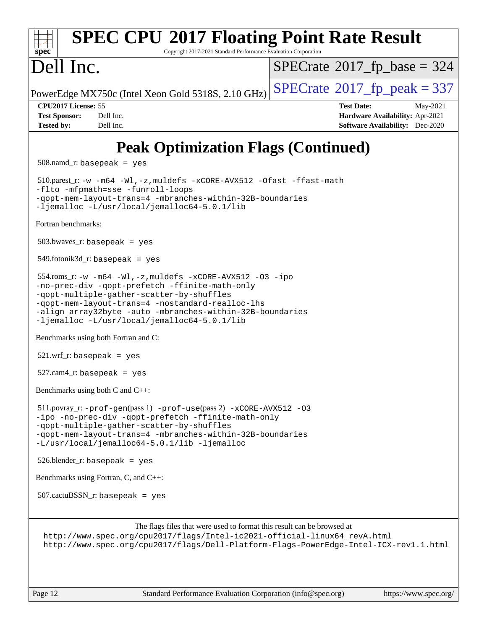### **[spec](http://www.spec.org/) [SPEC CPU](http://www.spec.org/auto/cpu2017/Docs/result-fields.html#SPECCPU2017FloatingPointRateResult)[2017 Floating Point Rate Result](http://www.spec.org/auto/cpu2017/Docs/result-fields.html#SPECCPU2017FloatingPointRateResult)** Copyright 2017-2021 Standard Performance Evaluation Corporation Dell Inc. PowerEdge MX750c (Intel Xeon Gold 5318S, 2.10 GHz)  $\left|$  [SPECrate](http://www.spec.org/auto/cpu2017/Docs/result-fields.html#SPECrate2017fppeak)®[2017\\_fp\\_peak = 3](http://www.spec.org/auto/cpu2017/Docs/result-fields.html#SPECrate2017fppeak)37  $SPECrate$ <sup>®</sup>[2017\\_fp\\_base =](http://www.spec.org/auto/cpu2017/Docs/result-fields.html#SPECrate2017fpbase) 324 **[CPU2017 License:](http://www.spec.org/auto/cpu2017/Docs/result-fields.html#CPU2017License)** 55 **[Test Date:](http://www.spec.org/auto/cpu2017/Docs/result-fields.html#TestDate)** May-2021 **[Test Sponsor:](http://www.spec.org/auto/cpu2017/Docs/result-fields.html#TestSponsor)** Dell Inc. **[Hardware Availability:](http://www.spec.org/auto/cpu2017/Docs/result-fields.html#HardwareAvailability)** Apr-2021 **[Tested by:](http://www.spec.org/auto/cpu2017/Docs/result-fields.html#Testedby)** Dell Inc. **[Software Availability:](http://www.spec.org/auto/cpu2017/Docs/result-fields.html#SoftwareAvailability)** Dec-2020 **[Peak Optimization Flags \(Continued\)](http://www.spec.org/auto/cpu2017/Docs/result-fields.html#PeakOptimizationFlags)** 508.namd\_r: basepeak = yes 510.parest\_r: [-w](http://www.spec.org/cpu2017/results/res2021q3/cpu2017-20210617-27033.flags.html#user_peakCXXLD510_parest_r_supress_warning_66fb2c4e5c1dd10f38bdd29623979399e5ae75ae6e5453792d82ef66afed381df4a8602f92cac8d2ea0fffa7b93b4b1ccb9ecad4af01c9b2fe338b2082ae3859) [-m64](http://www.spec.org/cpu2017/results/res2021q3/cpu2017-20210617-27033.flags.html#user_peakCXXLD510_parest_r_m64-icc) [-Wl,-z,muldefs](http://www.spec.org/cpu2017/results/res2021q3/cpu2017-20210617-27033.flags.html#user_peakEXTRA_LDFLAGS510_parest_r_link_force_multiple1_b4cbdb97b34bdee9ceefcfe54f4c8ea74255f0b02a4b23e853cdb0e18eb4525ac79b5a88067c842dd0ee6996c24547a27a4b99331201badda8798ef8a743f577) [-xCORE-AVX512](http://www.spec.org/cpu2017/results/res2021q3/cpu2017-20210617-27033.flags.html#user_peakCXXOPTIMIZE510_parest_r_f-xCORE-AVX512) [-Ofast](http://www.spec.org/cpu2017/results/res2021q3/cpu2017-20210617-27033.flags.html#user_peakCXXOPTIMIZE510_parest_r_f-Ofast) [-ffast-math](http://www.spec.org/cpu2017/results/res2021q3/cpu2017-20210617-27033.flags.html#user_peakCXXOPTIMIZE510_parest_r_f-ffast-math) [-flto](http://www.spec.org/cpu2017/results/res2021q3/cpu2017-20210617-27033.flags.html#user_peakCXXOPTIMIZE510_parest_r_f-flto) [-mfpmath=sse](http://www.spec.org/cpu2017/results/res2021q3/cpu2017-20210617-27033.flags.html#user_peakCXXOPTIMIZE510_parest_r_f-mfpmath_70eb8fac26bde974f8ab713bc9086c5621c0b8d2f6c86f38af0bd7062540daf19db5f3a066d8c6684be05d84c9b6322eb3b5be6619d967835195b93d6c02afa1) [-funroll-loops](http://www.spec.org/cpu2017/results/res2021q3/cpu2017-20210617-27033.flags.html#user_peakCXXOPTIMIZE510_parest_r_f-funroll-loops) [-qopt-mem-layout-trans=4](http://www.spec.org/cpu2017/results/res2021q3/cpu2017-20210617-27033.flags.html#user_peakCXXOPTIMIZE510_parest_r_f-qopt-mem-layout-trans_fa39e755916c150a61361b7846f310bcdf6f04e385ef281cadf3647acec3f0ae266d1a1d22d972a7087a248fd4e6ca390a3634700869573d231a252c784941a8) [-mbranches-within-32B-boundaries](http://www.spec.org/cpu2017/results/res2021q3/cpu2017-20210617-27033.flags.html#user_peakEXTRA_CXXOPTIMIZE510_parest_r_f-mbranches-within-32B-boundaries) [-ljemalloc](http://www.spec.org/cpu2017/results/res2021q3/cpu2017-20210617-27033.flags.html#user_peakEXTRA_LIBS510_parest_r_jemalloc_link_lib_d1249b907c500fa1c0672f44f562e3d0f79738ae9e3c4a9c376d49f265a04b9c99b167ecedbf6711b3085be911c67ff61f150a17b3472be731631ba4d0471706) [-L/usr/local/jemalloc64-5.0.1/lib](http://www.spec.org/cpu2017/results/res2021q3/cpu2017-20210617-27033.flags.html#user_peakEXTRA_LIBS510_parest_r_jemalloc_link_path64_1_cc289568b1a6c0fd3b62c91b824c27fcb5af5e8098e6ad028160d21144ef1b8aef3170d2acf0bee98a8da324cfe4f67d0a3d0c4cc4673d993d694dc2a0df248b) [Fortran benchmarks](http://www.spec.org/auto/cpu2017/Docs/result-fields.html#Fortranbenchmarks):  $503.bwaves$   $r:$  basepeak = yes 549.fotonik3d\_r: basepeak = yes 554.roms\_r: [-w](http://www.spec.org/cpu2017/results/res2021q3/cpu2017-20210617-27033.flags.html#user_peakFCLD554_roms_r_supress_warning_66fb2c4e5c1dd10f38bdd29623979399e5ae75ae6e5453792d82ef66afed381df4a8602f92cac8d2ea0fffa7b93b4b1ccb9ecad4af01c9b2fe338b2082ae3859) [-m64](http://www.spec.org/cpu2017/results/res2021q3/cpu2017-20210617-27033.flags.html#user_peakFCLD554_roms_r_m64-icc) [-Wl,-z,muldefs](http://www.spec.org/cpu2017/results/res2021q3/cpu2017-20210617-27033.flags.html#user_peakEXTRA_LDFLAGS554_roms_r_link_force_multiple1_b4cbdb97b34bdee9ceefcfe54f4c8ea74255f0b02a4b23e853cdb0e18eb4525ac79b5a88067c842dd0ee6996c24547a27a4b99331201badda8798ef8a743f577) [-xCORE-AVX512](http://www.spec.org/cpu2017/results/res2021q3/cpu2017-20210617-27033.flags.html#user_peakFOPTIMIZE554_roms_r_f-xCORE-AVX512) [-O3](http://www.spec.org/cpu2017/results/res2021q3/cpu2017-20210617-27033.flags.html#user_peakFOPTIMIZE554_roms_r_f-O3) [-ipo](http://www.spec.org/cpu2017/results/res2021q3/cpu2017-20210617-27033.flags.html#user_peakFOPTIMIZE554_roms_r_f-ipo) [-no-prec-div](http://www.spec.org/cpu2017/results/res2021q3/cpu2017-20210617-27033.flags.html#user_peakFOPTIMIZE554_roms_r_f-no-prec-div) [-qopt-prefetch](http://www.spec.org/cpu2017/results/res2021q3/cpu2017-20210617-27033.flags.html#user_peakFOPTIMIZE554_roms_r_f-qopt-prefetch) [-ffinite-math-only](http://www.spec.org/cpu2017/results/res2021q3/cpu2017-20210617-27033.flags.html#user_peakFOPTIMIZE554_roms_r_f_finite_math_only_cb91587bd2077682c4b38af759c288ed7c732db004271a9512da14a4f8007909a5f1427ecbf1a0fb78ff2a814402c6114ac565ca162485bbcae155b5e4258871) [-qopt-multiple-gather-scatter-by-shuffles](http://www.spec.org/cpu2017/results/res2021q3/cpu2017-20210617-27033.flags.html#user_peakFOPTIMIZE554_roms_r_f-qopt-multiple-gather-scatter-by-shuffles) [-qopt-mem-layout-trans=4](http://www.spec.org/cpu2017/results/res2021q3/cpu2017-20210617-27033.flags.html#user_peakFOPTIMIZE554_roms_r_f-qopt-mem-layout-trans_fa39e755916c150a61361b7846f310bcdf6f04e385ef281cadf3647acec3f0ae266d1a1d22d972a7087a248fd4e6ca390a3634700869573d231a252c784941a8) [-nostandard-realloc-lhs](http://www.spec.org/cpu2017/results/res2021q3/cpu2017-20210617-27033.flags.html#user_peakEXTRA_FOPTIMIZE554_roms_r_f_2003_std_realloc_82b4557e90729c0f113870c07e44d33d6f5a304b4f63d4c15d2d0f1fab99f5daaed73bdb9275d9ae411527f28b936061aa8b9c8f2d63842963b95c9dd6426b8a) [-align array32byte](http://www.spec.org/cpu2017/results/res2021q3/cpu2017-20210617-27033.flags.html#user_peakEXTRA_FOPTIMIZE554_roms_r_align_array32byte_b982fe038af199962ba9a80c053b8342c548c85b40b8e86eb3cc33dee0d7986a4af373ac2d51c3f7cf710a18d62fdce2948f201cd044323541f22fc0fffc51b6) [-auto](http://www.spec.org/cpu2017/results/res2021q3/cpu2017-20210617-27033.flags.html#user_peakEXTRA_FOPTIMIZE554_roms_r_f-auto) [-mbranches-within-32B-boundaries](http://www.spec.org/cpu2017/results/res2021q3/cpu2017-20210617-27033.flags.html#user_peakEXTRA_FOPTIMIZE554_roms_r_f-mbranches-within-32B-boundaries) [-ljemalloc](http://www.spec.org/cpu2017/results/res2021q3/cpu2017-20210617-27033.flags.html#user_peakEXTRA_LIBS554_roms_r_jemalloc_link_lib_d1249b907c500fa1c0672f44f562e3d0f79738ae9e3c4a9c376d49f265a04b9c99b167ecedbf6711b3085be911c67ff61f150a17b3472be731631ba4d0471706) [-L/usr/local/jemalloc64-5.0.1/lib](http://www.spec.org/cpu2017/results/res2021q3/cpu2017-20210617-27033.flags.html#user_peakEXTRA_LIBS554_roms_r_jemalloc_link_path64_1_cc289568b1a6c0fd3b62c91b824c27fcb5af5e8098e6ad028160d21144ef1b8aef3170d2acf0bee98a8da324cfe4f67d0a3d0c4cc4673d993d694dc2a0df248b) [Benchmarks using both Fortran and C](http://www.spec.org/auto/cpu2017/Docs/result-fields.html#BenchmarksusingbothFortranandC): 521.wrf\_r: basepeak = yes 527.cam4\_r: basepeak = yes [Benchmarks using both C and C++](http://www.spec.org/auto/cpu2017/Docs/result-fields.html#BenchmarksusingbothCandCXX): 511.povray\_r: [-prof-gen](http://www.spec.org/cpu2017/results/res2021q3/cpu2017-20210617-27033.flags.html#user_peakPASS1_CFLAGSPASS1_CXXFLAGSPASS1_LDFLAGS511_povray_r_prof_gen_5aa4926d6013ddb2a31985c654b3eb18169fc0c6952a63635c234f711e6e63dd76e94ad52365559451ec499a2cdb89e4dc58ba4c67ef54ca681ffbe1461d6b36)(pass 1) [-prof-use](http://www.spec.org/cpu2017/results/res2021q3/cpu2017-20210617-27033.flags.html#user_peakPASS2_CFLAGSPASS2_CXXFLAGSPASS2_LDFLAGS511_povray_r_prof_use_1a21ceae95f36a2b53c25747139a6c16ca95bd9def2a207b4f0849963b97e94f5260e30a0c64f4bb623698870e679ca08317ef8150905d41bd88c6f78df73f19)(pass 2) [-xCORE-AVX512](http://www.spec.org/cpu2017/results/res2021q3/cpu2017-20210617-27033.flags.html#user_peakCOPTIMIZECXXOPTIMIZE511_povray_r_f-xCORE-AVX512) [-O3](http://www.spec.org/cpu2017/results/res2021q3/cpu2017-20210617-27033.flags.html#user_peakCOPTIMIZECXXOPTIMIZE511_povray_r_f-O3) [-ipo](http://www.spec.org/cpu2017/results/res2021q3/cpu2017-20210617-27033.flags.html#user_peakCOPTIMIZECXXOPTIMIZE511_povray_r_f-ipo) [-no-prec-div](http://www.spec.org/cpu2017/results/res2021q3/cpu2017-20210617-27033.flags.html#user_peakCOPTIMIZECXXOPTIMIZE511_povray_r_f-no-prec-div) [-qopt-prefetch](http://www.spec.org/cpu2017/results/res2021q3/cpu2017-20210617-27033.flags.html#user_peakCOPTIMIZECXXOPTIMIZE511_povray_r_f-qopt-prefetch) [-ffinite-math-only](http://www.spec.org/cpu2017/results/res2021q3/cpu2017-20210617-27033.flags.html#user_peakCOPTIMIZECXXOPTIMIZE511_povray_r_f_finite_math_only_cb91587bd2077682c4b38af759c288ed7c732db004271a9512da14a4f8007909a5f1427ecbf1a0fb78ff2a814402c6114ac565ca162485bbcae155b5e4258871) [-qopt-multiple-gather-scatter-by-shuffles](http://www.spec.org/cpu2017/results/res2021q3/cpu2017-20210617-27033.flags.html#user_peakCOPTIMIZECXXOPTIMIZE511_povray_r_f-qopt-multiple-gather-scatter-by-shuffles) [-qopt-mem-layout-trans=4](http://www.spec.org/cpu2017/results/res2021q3/cpu2017-20210617-27033.flags.html#user_peakCOPTIMIZECXXOPTIMIZE511_povray_r_f-qopt-mem-layout-trans_fa39e755916c150a61361b7846f310bcdf6f04e385ef281cadf3647acec3f0ae266d1a1d22d972a7087a248fd4e6ca390a3634700869573d231a252c784941a8) [-mbranches-within-32B-boundaries](http://www.spec.org/cpu2017/results/res2021q3/cpu2017-20210617-27033.flags.html#user_peakEXTRA_COPTIMIZEEXTRA_CXXOPTIMIZE511_povray_r_f-mbranches-within-32B-boundaries) [-L/usr/local/jemalloc64-5.0.1/lib](http://www.spec.org/cpu2017/results/res2021q3/cpu2017-20210617-27033.flags.html#user_peakEXTRA_LIBS511_povray_r_jemalloc_link_path64_1_cc289568b1a6c0fd3b62c91b824c27fcb5af5e8098e6ad028160d21144ef1b8aef3170d2acf0bee98a8da324cfe4f67d0a3d0c4cc4673d993d694dc2a0df248b) [-ljemalloc](http://www.spec.org/cpu2017/results/res2021q3/cpu2017-20210617-27033.flags.html#user_peakEXTRA_LIBS511_povray_r_jemalloc_link_lib_d1249b907c500fa1c0672f44f562e3d0f79738ae9e3c4a9c376d49f265a04b9c99b167ecedbf6711b3085be911c67ff61f150a17b3472be731631ba4d0471706) 526.blender\_r: basepeak = yes [Benchmarks using Fortran, C, and C++:](http://www.spec.org/auto/cpu2017/Docs/result-fields.html#BenchmarksusingFortranCandCXX)  $507$ .cactu $BSSN$  r: basepeak = yes [The flags files that were used to format this result can be browsed at](tmsearch) [http://www.spec.org/cpu2017/flags/Intel-ic2021-official-linux64\\_revA.html](http://www.spec.org/cpu2017/flags/Intel-ic2021-official-linux64_revA.html) <http://www.spec.org/cpu2017/flags/Dell-Platform-Flags-PowerEdge-Intel-ICX-rev1.1.html>